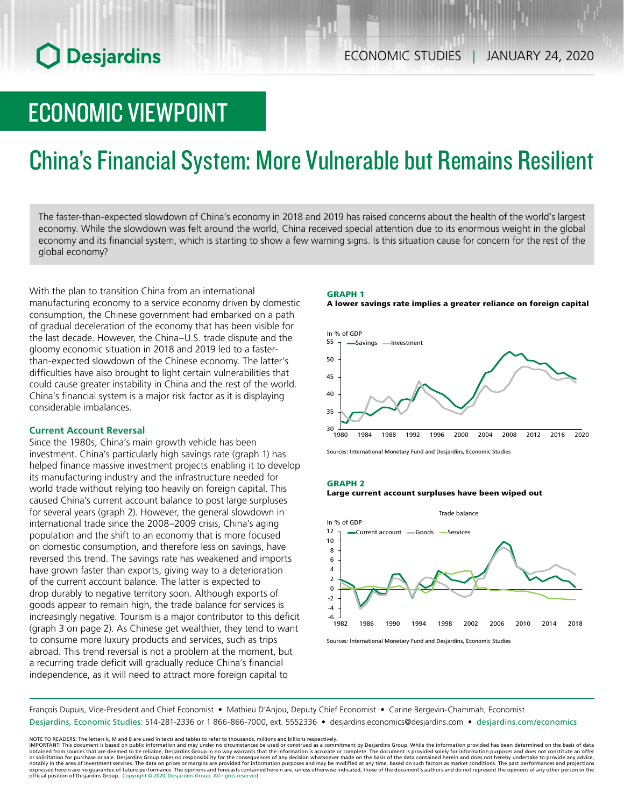# **O** Desjardins

# ECONOMIC VIEWPOINT

# China's Financial System: More Vulnerable but Remains Resilient

The faster-than-expected slowdown of China's economy in 2018 and 2019 has raised concerns about the health of the world's largest economy. While the slowdown was felt around the world, China received special attention due to its enormous weight in the global economy and its financial system, which is starting to show a few warning signs. Is this situation cause for concern for the rest of the global economy?

With the plan to transition China from an international manufacturing economy to a service economy driven by domestic consumption, the Chinese government had embarked on a path of gradual deceleration of the economy that has been visible for the last decade. However, the China–U.S. trade dispute and the gloomy economic situation in 2018 and 2019 led to a fasterthan-expected slowdown of the Chinese economy. The latter's difficulties have also brought to light certain vulnerabilities that could cause greater instability in China and the rest of the world. China's financial system is a major risk factor as it is displaying considerable imbalances.

## **Current Account Reversal**

Since the 1980s, China's main growth vehicle has been investment. China's particularly high savings rate (graph 1) has helped finance massive investment projects enabling it to develop its manufacturing industry and the infrastructure needed for world trade without relying too heavily on foreign capital. This caused China's current account balance to post large surpluses for several years (graph 2). However, the general slowdown in international trade since the 2008–2009 crisis, China's aging population and the shift to an economy that is more focused on domestic consumption, and therefore less on savings, have reversed this trend. The savings rate has weakened and imports have grown faster than exports, giving way to a deterioration of the current account balance. The latter is expected to drop durably to negative territory soon. Although exports of goods appear to remain high, the trade balance for services is increasingly negative. Tourism is a major contributor to this deficit (graph 3 on page 2). As Chinese get wealthier, they tend to want to consume more luxury products and services, such as trips abroad. This trend reversal is not a problem at the moment, but a recurring trade deficit will gradually reduce China's financial independence, as it will need to attract more foreign capital to





Sources: International Monetary Fund and Desjardins, Economic Studies

#### GRAPH 2





Sources: International Monetary Fund and Desjardins, Economic Studies

François Dupuis, Vice-President and Chief Economist • Mathieu D'Anjou, Deputy Chief Economist • Carine Bergevin-Chammah, Economist Desjardins, Economic Studies: 514-281-2336 or 1 866-866-7000, ext. 5552336 • desjardins.economics@desjardins.com • [desjardins.com/economics](http://desjardins.com/economics)

NOTE TO READERS: The letters k, M and B are used in texts and tables to refer to thousands, millions and billions respectively.<br>IMPORTANT: This document is based on public information and may under no circumstances be used obtained from sources that are deemed to be reliable, Desjardins Group in no way warrants that the information is accurate or complete. The document is provided solely for information purposes and does not constitute an of expressed herein are no guarantee of future performance. The opinions and forecasts contained herein are, unless otherwise indicated, those of the document's authors and do not represent the opinions of any other person or official position of Desjardins Group. Copyright © 2020, Desjardins Group. All rights reserved.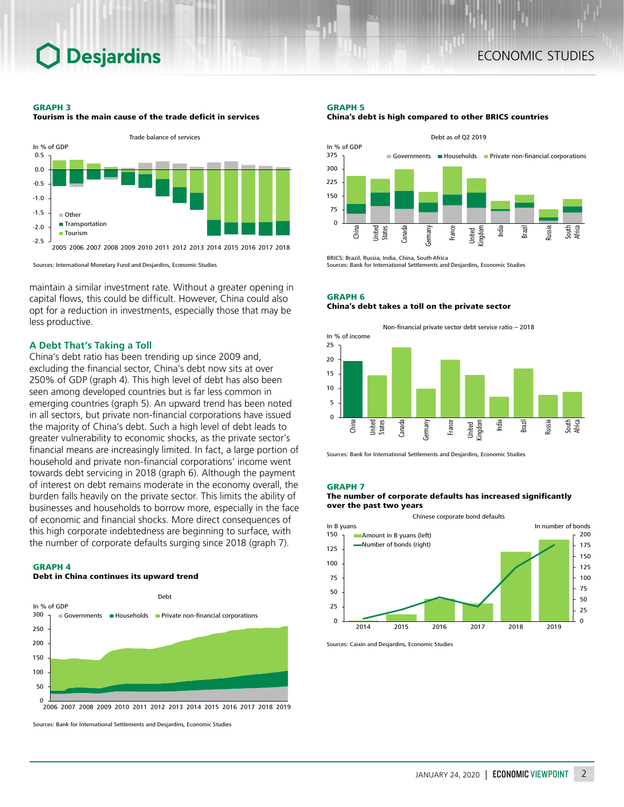# **Desjardins**

#### GRAPH 3

-2.5 -2.0

**Tourism** 



Tourism is the main cause of the trade deficit in services

Sources: International Monetary Fund and Desjardins, Economic Studies

maintain a similar investment rate. Without a greater opening in capital flows, this could be difficult. However, China could also opt for a reduction in investments, especially those that may be less productive.

2005 2006 2007 2008 2009 2010 2011 2012 2013 2014 2015 2016 2017 2018

### **A Debt That's Taking a Toll**

China's debt ratio has been trending up since 2009 and, excluding the financial sector, China's debt now sits at over 250% of GDP (graph 4). This high level of debt has also been seen among developed countries but is far less common in emerging countries (graph 5). An upward trend has been noted in all sectors, but private non-financial corporations have issued the majority of China's debt. Such a high level of debt leads to greater vulnerability to economic shocks, as the private sector's financial means are increasingly limited. In fact, a large portion of household and private non-financial corporations' income went towards debt servicing in 2018 (graph 6). Although the payment of interest on debt remains moderate in the economy overall, the burden falls heavily on the private sector. This limits the ability of businesses and households to borrow more, especially in the face of economic and financial shocks. More direct consequences of this high corporate indebtedness are beginning to surface, with the number of corporate defaults surging since 2018 (graph 7).

#### GRAPH 4

#### Debt in China continues its upward trend



Sources: Bank for International Settlements and Desjardins, Economic Studies

# GRAPH 5





BRICS: Brazil, Russia, India, China, South Africa Sources: Bank for International Settlements and Desjardins, Economic Studies

GRAPH 6 China's debt takes a toll on the private sector



Sources: Bank for International Settlements and Desjardins, Economic Studies

#### GRAPH 7

#### The number of corporate defaults has increased significantly over the past two years

Chinese corporate bond defaults



Sources: Caixin and Desjardins, Economic Studies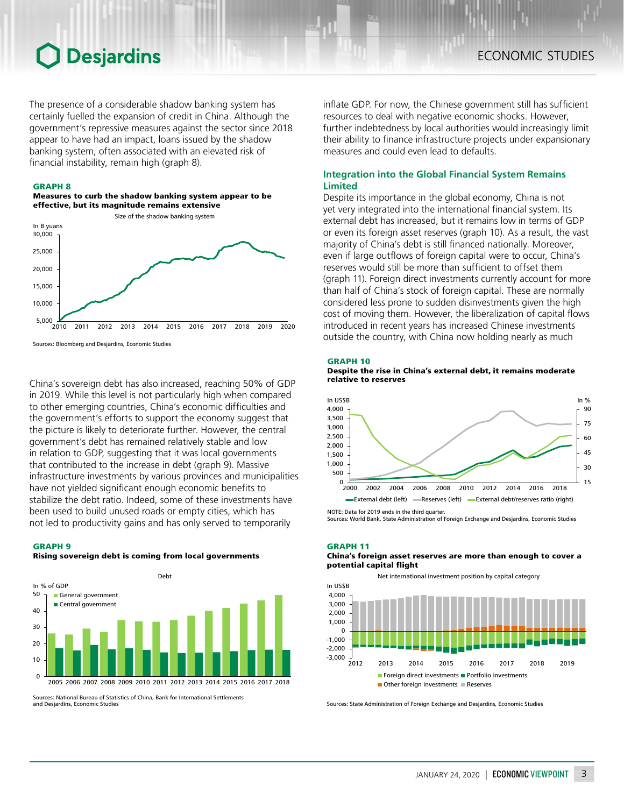# **Desjardins**

The presence of a considerable shadow banking system has certainly fuelled the expansion of credit in China. Although the government's repressive measures against the sector since 2018 appear to have had an impact, loans issued by the shadow banking system, often associated with an elevated risk of financial instability, remain high (graph 8).

#### GRAPH 8

#### Measures to curb the shadow banking system appear to be effective, but its magnitude remains extensive



Sources: Bloomberg and Desjardins, Economic Studies

China's sovereign debt has also increased, reaching 50% of GDP in 2019. While this level is not particularly high when compared to other emerging countries, China's economic difficulties and the government's efforts to support the economy suggest that the picture is likely to deteriorate further. However, the central government's debt has remained relatively stable and low in relation to GDP, suggesting that it was local governments that contributed to the increase in debt (graph 9). Massive infrastructure investments by various provinces and municipalities have not yielded significant enough economic benefits to stabilize the debt ratio. Indeed, some of these investments have been used to build unused roads or empty cities, which has not led to productivity gains and has only served to temporarily

#### GRAPH 9

#### Rising sovereign debt is coming from local governments



Sources: National Bureau of Statistics of China, Bank for International Settlements and Desjardins, Economic Studies

inflate GDP. For now, the Chinese government still has sufficient resources to deal with negative economic shocks. However, further indebtedness by local authorities would increasingly limit their ability to finance infrastructure projects under expansionary measures and could even lead to defaults.

### **Integration into the Global Financial System Remains Limited**

Despite its importance in the global economy, China is not yet very integrated into the international financial system. Its external debt has increased, but it remains low in terms of GDP or even its foreign asset reserves (graph 10). As a result, the vast majority of China's debt is still financed nationally. Moreover, even if large outflows of foreign capital were to occur, China's reserves would still be more than sufficient to offset them (graph 11). Foreign direct investments currently account for more than half of China's stock of foreign capital. These are normally considered less prone to sudden disinvestments given the high cost of moving them. However, the liberalization of capital flows introduced in recent years has increased Chinese investments outside the country, with China now holding nearly as much

#### GRAPH 10





Sources: World Bank, State Administration of Foreign Exchange and Desjardins, Economic Studies

### GRAPH 11

#### China's foreign asset reserves are more than enough to cover a potential capital flight

Net international investment position by capital category



Sources: State Administration of Foreign Exchange and Desjardins, Economic Studies